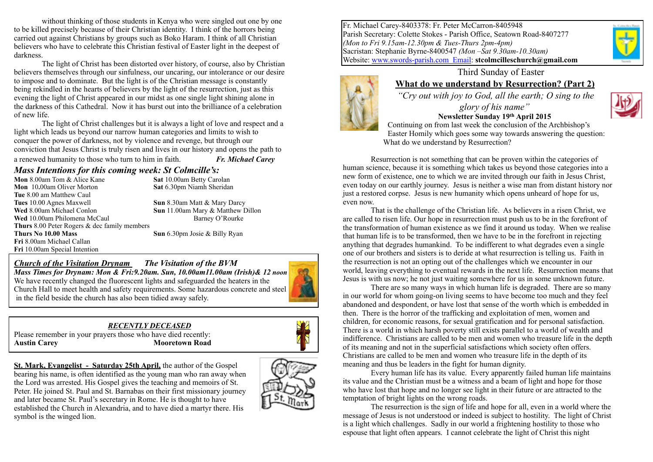without thinking of those students in Kenya who were singled out one by one to be killed precisely because of their Christian identity. I think of the horrors being carried out against Christians by groups such as Boko Haram. I think of all Christian believers who have to celebrate this Christian festival of Easter light in the deepest of darkness.

The light of Christ has been distorted over history, of course, also by Christian believers themselves through our sinfulness, our uncaring, our intolerance or our desire to impose and to dominate. But the light is of the Christian message is constantly being rekindled in the hearts of believers by the light of the resurrection, just as this evening the light of Christ appeared in our midst as one single light shining alone in the darkness of this Cathedral. Now it has burst out into the brilliance of a celebration of new life.

The light of Christ challenges but it is always a light of love and respect and a light which leads us beyond our narrow human categories and limits to wish to conquer the power of darkness, not by violence and revenge, but through our conviction that Jesus Christ is truly risen and lives in our history and opens the path to a renewed humanity to those who turn to him in faith. **Fr. Michael Carey** 

#### *Mass Intentions for this coming week: St Colmcille's:*

| Mon 8.00am Tom & Alice Kane                         | Sat $10$ |
|-----------------------------------------------------|----------|
| Mon 10.00am Oliver Morton                           | Sat $6.$ |
| Tue 8.00 am Matthew Caul                            |          |
| Tues 10.00 Agnes Maxwell                            | Sun 8    |
| Wed 8.00am Michael Conlon                           | Sun 1    |
| Wed 10.00am Philomena McCaul                        |          |
| <b>Thurs</b> 8.00 Peter Rogers & dec family members |          |
| Thurs No 10.00 Mass                                 | Sun 6    |
| Fri 8.00am Michael Callan                           |          |
| Fri 10.00am Special Intention                       |          |

0.00am Betty Carolan **Mon** 10**.**00am Oliver Morton **Sat** 6.30pm Niamh Sheridan

**B.30am Matt & Mary Darcy** 1.00am Mary & Matthew Dillon Barney O'Rourke

5.30pm Josie & Billy Ryan

#### *Church of the Visitation Drynam**The Visitation of the BVM*

*Mass Times for Drynam: Mon & Fri:9.20am. Sun, 10.00am11.00am (Irish)& 12 noon* We have recently changed the fluorescent lights and safeguarded the heaters in the Church Hall to meet health and safety requirements. Some hazardous concrete and steel in the field beside the church has also been tidied away safely.

## *RECENTLY DECEASED*

Please remember in your prayers those who have died recently: **Austin Carey Mooretown Road** 



**St. Mark, Evangelist - Saturday 25th April,** the author of the Gospel bearing his name, is often identified as the young man who ran away when the Lord was arrested. His Gospel gives the teaching and memoirs of St. Peter. He joined St. Paul and St. Barnabas on their first missionary journey and later became St. Paul's secretary in Rome. He is thought to have established the Church in Alexandria, and to have died a martyr there. His symbol is the winged lion.





# **What do we understand by Resurrection? (Part 2)**

 *"Cry out with joy to God, all the earth; O sing to the glory of his name"* 



**Newsletter Sunday 19th April 2015**  Continuing on from last week the conclusion of the Archbishop's Easter Homily which goes some way towards answering the question: What do we understand by Resurrection?

Resurrection is not something that can be proven within the categories of human science, because it is something which takes us beyond those categories into a new form of existence, one to which we are invited through our faith in Jesus Christ, even today on our earthly journey. Jesus is neither a wise man from distant history nor just a restored corpse. Jesus is new humanity which opens unheard of hope for us, even now.

That is the challenge of the Christian life. As believers in a risen Christ, we are called to risen life. Our hope in resurrection must push us to be in the forefront of the transformation of human existence as we find it around us today. When we realise that human life is to be transformed, then we have to be in the forefront in rejecting anything that degrades humankind. To be indifferent to what degrades even a single one of our brothers and sisters is to deride at what resurrection is telling us. Faith in the resurrection is not an opting out of the challenges which we encounter in our world, leaving everything to eventual rewards in the next life. Resurrection means that Jesus is with us now; he not just waiting somewhere for us in some unknown future.

There are so many ways in which human life is degraded. There are so many in our world for whom going-on living seems to have become too much and they feel abandoned and despondent, or have lost that sense of the worth which is embedded in then. There is the horror of the trafficking and exploitation of men, women and children, for economic reasons, for sexual gratification and for personal satisfaction. There is a world in which harsh poverty still exists parallel to a world of wealth and indifference. Christians are called to be men and women who treasure life in the depth of its meaning and not in the superficial satisfactions which society often offers. Christians are called to be men and women who treasure life in the depth of its meaning and thus be leaders in the fight for human dignity.

Every human life has its value. Every apparently failed human life maintains its value and the Christian must be a witness and a beam of light and hope for those who have lost that hope and no longer see light in their future or are attracted to the temptation of bright lights on the wrong roads.

The resurrection is the sign of life and hope for all, even in a world where the message of Jesus is not understood or indeed is subject to hostility. The light of Christ is a light which challenges. Sadly in our world a frightening hostility to those who espouse that light often appears. I cannot celebrate the light of Christ this night